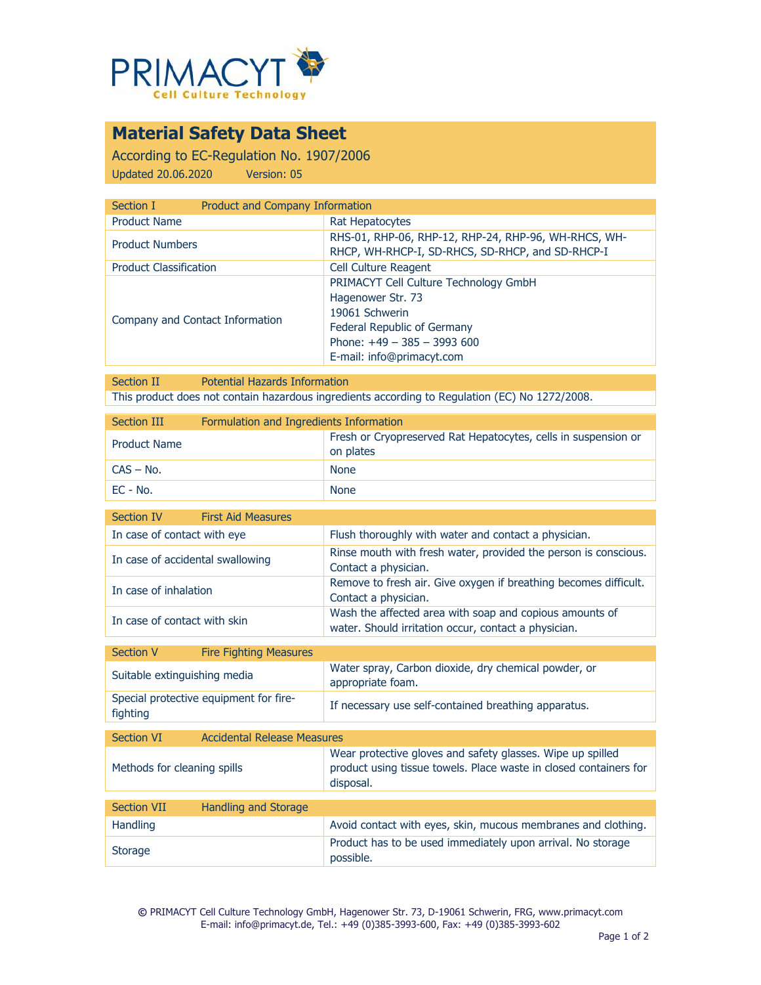

## **Material Safety Data Sheet**

According to EC-Regulation No. 1907/2006 Updated 20.06.2020 Version: 05

| Section I                       | Product and Company Information                                                                                                                                          |  |
|---------------------------------|--------------------------------------------------------------------------------------------------------------------------------------------------------------------------|--|
| <b>Product Name</b>             | Rat Hepatocytes                                                                                                                                                          |  |
| <b>Product Numbers</b>          | RHS-01, RHP-06, RHP-12, RHP-24, RHP-96, WH-RHCS, WH-<br>RHCP, WH-RHCP-I, SD-RHCS, SD-RHCP, and SD-RHCP-I                                                                 |  |
| <b>Product Classification</b>   | <b>Cell Culture Reagent</b>                                                                                                                                              |  |
| Company and Contact Information | PRIMACYT Cell Culture Technology GmbH<br>Hagenower Str. 73<br>19061 Schwerin<br>Federal Republic of Germany<br>Phone: $+49 - 385 - 3993600$<br>E-mail: info@primacyt.com |  |

Section II Potential Hazards Information This product does not contain hazardous ingredients according to Regulation (EC) No 1272/2008.

| <b>Section III</b><br>Formulation and Ingredients Information                          |                                                                                                                                              |
|----------------------------------------------------------------------------------------|----------------------------------------------------------------------------------------------------------------------------------------------|
| <b>Product Name</b>                                                                    | Fresh or Cryopreserved Rat Hepatocytes, cells in suspension or<br>on plates                                                                  |
| $CAS - No.$                                                                            | <b>None</b>                                                                                                                                  |
| EC - No.                                                                               | <b>None</b>                                                                                                                                  |
| <b>Section IV</b><br><b>First Aid Measures</b>                                         |                                                                                                                                              |
| In case of contact with eye                                                            | Flush thoroughly with water and contact a physician.                                                                                         |
| In case of accidental swallowing                                                       | Rinse mouth with fresh water, provided the person is conscious.<br>Contact a physician.                                                      |
| In case of inhalation                                                                  | Remove to fresh air. Give oxygen if breathing becomes difficult.<br>Contact a physician.                                                     |
| In case of contact with skin                                                           | Wash the affected area with soap and copious amounts of<br>water. Should irritation occur, contact a physician.                              |
|                                                                                        |                                                                                                                                              |
|                                                                                        |                                                                                                                                              |
| <b>Fire Fighting Measures</b><br><b>Section V</b><br>Suitable extinguishing media      | Water spray, Carbon dioxide, dry chemical powder, or<br>appropriate foam.                                                                    |
| Special protective equipment for fire-<br>fighting                                     | If necessary use self-contained breathing apparatus.                                                                                         |
|                                                                                        |                                                                                                                                              |
| <b>Accidental Release Measures</b><br><b>Section VI</b><br>Methods for cleaning spills | Wear protective gloves and safety glasses. Wipe up spilled<br>product using tissue towels. Place waste in closed containers for<br>disposal. |
| <b>Section VII</b>                                                                     |                                                                                                                                              |
| <b>Handling and Storage</b><br>Handling                                                | Avoid contact with eyes, skin, mucous membranes and clothing.                                                                                |

**©** PRIMACYT Cell Culture Technology GmbH, Hagenower Str. 73, D-19061 Schwerin, FRG, www.primacyt.com E-mail: info@primacyt.de, Tel.: +49 (0)385-3993-600, Fax: +49 (0)385-3993-602